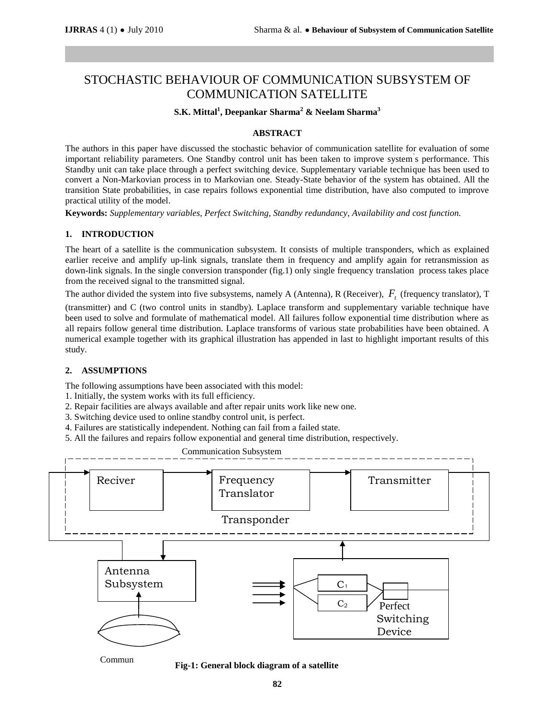# STOCHASTIC BEHAVIOUR OF COMMUNICATION SUBSYSTEM OF COMMUNICATION SATELLITE

## **S.K. Mittal<sup>1</sup> , Deepankar Sharma<sup>2</sup> & Neelam Sharma<sup>3</sup>**

## **ABSTRACT**

The authors in this paper have discussed the stochastic behavior of communication satellite for evaluation of some important reliability parameters. One Standby control unit has been taken to improve system's performance. This Standby unit can take place through a perfect switching device. Supplementary variable technique has been used to convert a Non-Markovian process in to Markovian one. Steady-State behavior of the system has obtained. All the transition State probabilities, in case repairs follows exponential time distribution, have also computed to improve practical utility of the model.

**Keywords:** *Supplementary variables, Perfect Switching, Standby redundancy, Availability and cost function.*

## **1. INTRODUCTION**

The heart of a satellite is the communication subsystem. It consists of multiple transponders, which as explained earlier receive and amplify up-link signals, translate them in frequency and amplify again for retransmission as down-link signals. In the single conversion transponder (fig.1) only single frequency translation process takes place from the received signal to the transmitted signal.

The author divided the system into five subsystems, namely A (Antenna), R (Receiver), *Ft* (frequency translator), T

(transmitter) and C (two control units in standby). Laplace transform and supplementary variable technique have been used to solve and formulate of mathematical model. All failures follow exponential time distribution where as all repairs follow general time distribution. Laplace transforms of various state probabilities have been obtained. A numerical example together with its graphical illustration has appended in last to highlight important results of this study.

## **2. ASSUMPTIONS**

The following assumptions have been associated with this model:

- 1. Initially, the system works with its full efficiency.
- 2. Repair facilities are always available and after repair units work like new one.
- 3. Switching device used to online standby control unit, is perfect.
- 4. Failures are statistically independent. Nothing can fail from a failed state.
- 5. All the failures and repairs follow exponential and general time distribution, respectively.



Communi<br>**Fig-1: General block diagram of a satellite**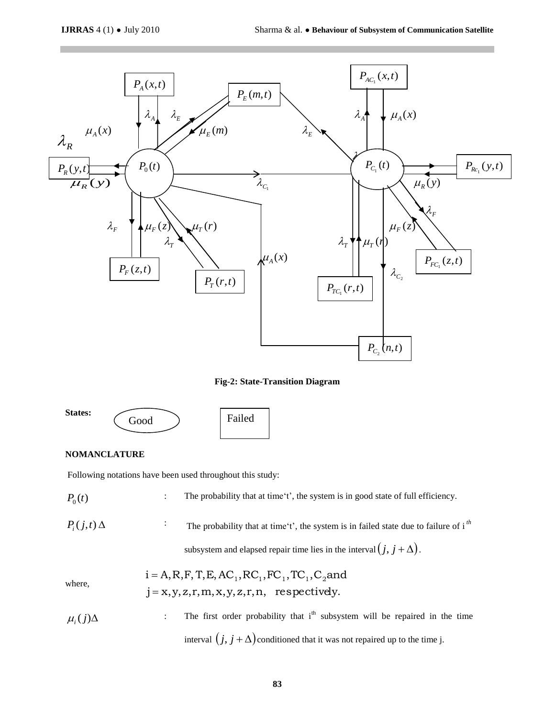

**Fig-2: State-Transition Diagram**



## **NOMANCLATURE**

Following notations have been used throughout this study:

 $P_0(t)$ : The probability that at time't', the system is in good state of full efficiency.  $P_i(j,t) \Delta$ The probability that at time 't', the system is in failed state due to failure of  $i<sup>th</sup>$ 

subsystem and elapsed repair time lies in the interval  $(j, j + \Delta)$ .

where,

$$
i = A, R, F, T, E, AC1, RC1, FC1, TC1, C2 and
$$

$$
j = x, y, z, r, m, x, y, z, r, n, \text{ respectively.}
$$

$$
\mu_i(j)\Delta
$$
 The first order probability that  $i^{\text{th}}$  subsystem will be repaired in the time interval  $(j, j + \Delta)$  conditioned that it was not repaired up to the time j.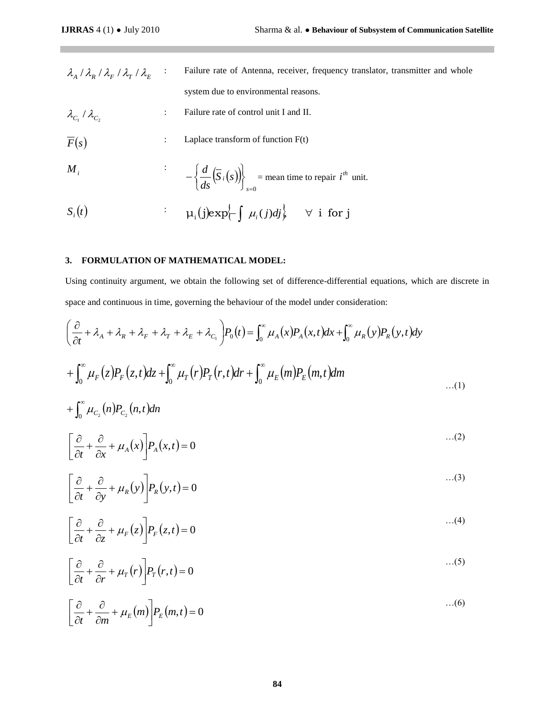- $\lambda_{_{A}}\,/\,\lambda_{_{R}}\,/\,\lambda_{_{F}}\,/\,\lambda_{_{T}}\,/\,\lambda_{_{E}}$ : Failure rate of Antenna, receiver, frequency translator, transmitter and whole system due to environmental reasons.
- $\lambda_{_{C_1}}$  /  $\lambda_{_{C_2}}$ : Failure rate of control unit I and II.
- $\overline{F}(s)$ : Laplace transform of function F(t)

$$
M_{i} \qquad \qquad \cdot \qquad -\left\{\frac{d}{ds}\left(\overline{S}_{i}(s)\right)\right\}_{s=0} = \text{mean time to repair } i^{th} \text{ unit.}
$$

$$
S_i(t) \qquad \qquad : \qquad \mu_i(j) \exp\left\{-\int \mu_i(j) d j\right\} \qquad \forall \; \; i \; \; \text{for} \; j
$$

## **3. FORMULATION OF MATHEMATICAL MODEL:**

Using continuity argument, we obtain the following set of difference-differential equations, which are discrete in space and continuous in time, governing the behaviour of the model under consideration:

$$
\lambda_{A} / \lambda_{R} / \lambda_{F} / \lambda_{F} / \lambda_{F}
$$
\n
$$
\lambda_{C_{1}} / \lambda_{C_{2}}
$$
\n
$$
\lambda_{C_{2}} / \lambda_{C_{3}}
$$
\n
$$
\lambda_{C_{3}} / \lambda_{C_{4}}
$$
\n
$$
\lambda_{C_{4}} / \lambda_{C_{5}}
$$
\n
$$
\lambda_{C_{5}} / \lambda_{C_{6}}
$$
\n
$$
\lambda_{C_{6}} / \lambda_{C_{7}}
$$
\n
$$
\lambda_{C_{8}} / \lambda_{C_{9}}
$$
\n
$$
\lambda_{C_{9}} / \lambda_{C_{9}}
$$
\n
$$
\lambda_{C_{1}} / \lambda_{C_{2}}
$$
\n
$$
\lambda_{C_{1}} / \lambda_{C_{2}}
$$
\n
$$
\lambda_{C_{1}} / \lambda_{C_{2}}
$$
\n
$$
\lambda_{C_{1}} / \lambda_{C_{2}}
$$
\n
$$
\lambda_{C_{1}} / \lambda_{C_{2}}
$$
\n
$$
\lambda_{C_{2}} / \lambda_{C_{3}}
$$
\n
$$
\lambda_{C_{3}} / \lambda_{C_{4}}
$$
\n
$$
\lambda_{C_{4}} / \lambda_{C_{5}}
$$
\n
$$
\lambda_{C_{5}} / \lambda_{C_{6}}
$$
\n
$$
\lambda_{C_{6}} / \lambda_{C_{7}}
$$
\n
$$
\lambda_{C_{7}} / \lambda_{C_{8}}
$$
\n
$$
\lambda_{C_{8}} / \lambda_{C_{9}}
$$
\n
$$
\lambda_{C_{9}} / \lambda_{C_{1}} / \lambda_{C_{1}} / \lambda_{C_{1}}
$$
\n
$$
\lambda_{C_{1}} / \lambda_{C_{1}} / \lambda_{C_{1}}
$$
\n
$$
\lambda_{C_{1}} / \lambda_{C_{1}}
$$
\n
$$
\lambda_{C_{1}} / \lambda_{C_{2}}
$$
\n
$$
\lambda_{C_{1}} / \lambda_{C_{1}}
$$
\n
$$
\lambda_{C_{1}} / \lambda_{C_{2}}
$$
\n
$$
\lambda_{C_{1}} / \lambda_{C_{1}}
$$
\n
$$
\lambda_{C_{1}} / \lambda_{C_{2}}
$$
\n
$$
\lambda_{C_{1}} / \lambda_{C_{1}}
$$
\n
$$
\lambda_{C_{1}} / \lambda_{C_{2}}
$$
\n
$$
\lambda_{C_{1}}
$$
\

$$
+\int_0^\infty\mu_{C_2}(n)P_{C_2}(n,t)dn
$$

$$
\left[\frac{\partial}{\partial t} + \frac{\partial}{\partial x} + \mu_A(x)\right] P_A(x,t) = 0 \tag{2}
$$

$$
\left[\frac{\partial}{\partial t} + \frac{\partial}{\partial y} + \mu_R(y)\right] P_R(y,t) = 0 \tag{3}
$$

$$
\left[\frac{\partial}{\partial t} + \frac{\partial}{\partial z} + \mu_F(z)\right] P_F(z,t) = 0 \tag{4}
$$

$$
\left[\frac{\partial}{\partial t} + \frac{\partial}{\partial r} + \mu_T(r)\right] P_T(r,t) = 0 \tag{5}
$$

$$
\left[\frac{\partial}{\partial t} + \frac{\partial}{\partial m} + \mu_E(m)\right] P_E(m, t) = 0 \tag{6}
$$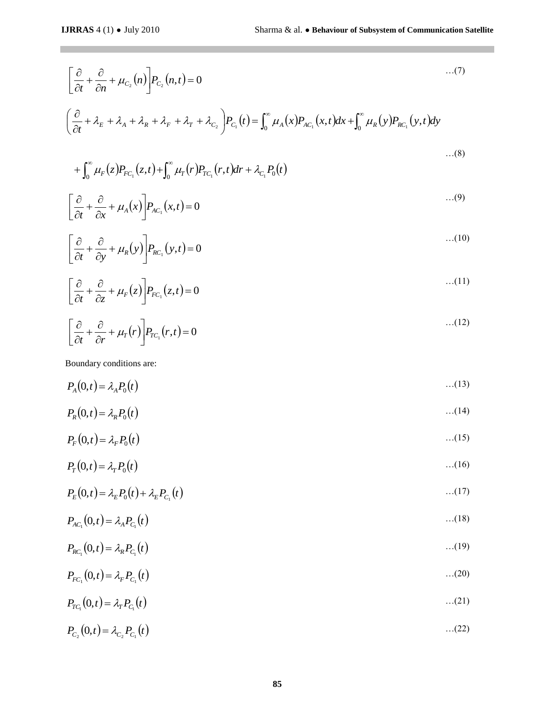$\mathcal{L}^{\mathcal{L}}$ 

$$
\left[\frac{\partial}{\partial t} + \frac{\partial}{\partial t} + \mu_{C_2}(n)\right] P_{C_1}(n, t) = 0 \qquad ...(7)
$$
\n
$$
\left(\frac{\partial}{\partial t} + \lambda_{R} + \lambda_{A} + \lambda_{R} + \lambda_{F} + \lambda_{F} + \lambda_{G_2}\right) P_{C_1}(t) = \int_0^\infty \mu_A(x) P_{AC_1}(x, t) dx + \int_0^\infty \mu_R(y) P_{BC_1}(y, t) dy
$$
\n
$$
+ \int_0^\infty \mu_F(z) P_{FC_1}(z, t) + \int_0^\infty \mu_F(r) P_{FC_1}(r, t) dr + \lambda_{C_1} P_0(t)
$$
\n...(8)  
\n
$$
\left[\frac{\partial}{\partial t} + \frac{\partial}{\partial x} + \mu_A(x)\right] P_{AC_1}(x, t) = 0 \qquad ...(9)\n
$$
\left[\frac{\partial}{\partial t} + \frac{\partial}{\partial x} + \mu_F(x)\right] P_{FC_1}(z, t) = 0
$$
\n
$$
\left[\frac{\partial}{\partial t} + \frac{\partial}{\partial t} + \mu_F(r)\right] P_{FC_1}(r, t) = 0
$$
\n
$$
\left[\frac{\partial}{\partial t} + \frac{\partial}{\partial r} + \mu_F(r)\right] P_{FC_1}(r, t) = 0 \qquad ...(11)\n
$$
P_A(0, t) = \lambda_A P_0(t)
$$
\n...(14)  
\n
$$
P_A(0, t) = \lambda_A P_0(t)
$$
\n...(15)  
\n
$$
P_B(0, t) = \lambda_A P_0(t)
$$
\n...(16)  
\n
$$
P_E(0, t) = \lambda_A P_0(t)
$$
\n...(17)  
\n
$$
P_{AC_1}(0, t) = \lambda_A P_0(t)
$$
\n...(18)  
\n
$$
P_{AC_2}(0, t) = \lambda_A P_{C_1}(t)
$$
\n...(19)  
\n
$$
P_{AC_2}(0, t) = \lambda_R P_{C_1}(t)
$$
\n...(20)  
\n
$$
P_{CC_2}(0, t) = \lambda_R P_{C_2}(t)
$$
\n...(32)  
\n...(20)  
\n
$$
P_{CC_3}(0, t
$$
$$
$$

$$
+\int_0^{\infty} \mu_F(z) P_{FC_1}(z,t) + \int_0^{\infty} \mu_T(r) P_{TC_1}(r,t) dr + \lambda_{C_1} P_0(t)
$$

$$
\left[\frac{\partial}{\partial t} + \frac{\partial}{\partial x} + \mu_A(x)\right] P_{AC_1}(x, t) = 0 \tag{9}
$$

$$
\left[\frac{\partial}{\partial t} + \frac{\partial}{\partial y} + \mu_R(y)\right] P_{RC_1}(y, t) = 0 \tag{10}
$$

$$
\left[\frac{\partial}{\partial t} + \frac{\partial}{\partial z} + \mu_F(z)\right] P_{FC_1}(z, t) = 0 \tag{11}
$$

$$
\left[\frac{\partial}{\partial t} + \frac{\partial}{\partial r} + \mu_T(r)\right] P_{TC_1}(r, t) = 0 \tag{12}
$$

Boundary conditions are:

$$
P_A(0,t) = \lambda_A P_0(t) \tag{13}
$$

$$
P_R(0,t) = \lambda_R P_0(t) \tag{14}
$$

$$
P_F(0,t) = \lambda_F P_0(t) \tag{15}
$$

$$
P_T(0,t) = \lambda_T P_0(t) \tag{16}
$$

$$
P_E(0,t) = \lambda_E P_0(t) + \lambda_E P_{C_1}(t) \tag{17}
$$

$$
P_{AC_1}(0,t) = \lambda_A P_{C_1}(t) \tag{18}
$$

$$
P_{RC_1}(0,t) = \lambda_R P_{C_1}(t) \tag{19}
$$

$$
P_{FC_1}(0,t) = \lambda_F P_{C_1}(t) \tag{20}
$$

$$
P_{TC_1}(0,t) = \lambda_T P_{C_1}(t) \tag{21}
$$

$$
P_{C_2}(0,t) = \lambda_{C_2} P_{C_1}(t) \tag{22}
$$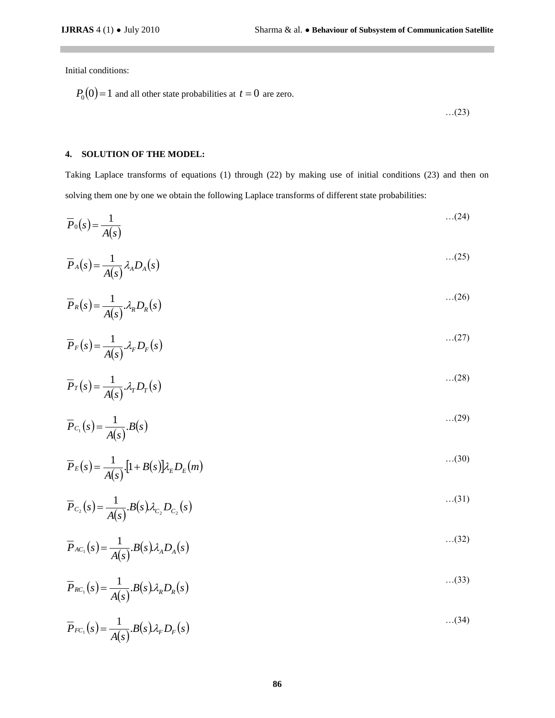Initial conditions:

 $\mathcal{L}^{\text{max}}$ 

$$
P_0(0) = 1
$$
 and all other state probabilities at  $t = 0$  are zero.

…(23)

### **4. SOLUTION OF THE MODEL:**

Taking Laplace transforms of equations (1) through (22) by making use of initial conditions (23) and then on solving them one by one we obtain the following Laplace transforms of different state probabilities:

$$
\overline{P}_0(s) = \frac{1}{A(s)} \tag{24}
$$

$$
\overline{P}_A(s) = \frac{1}{A(s)} \lambda_A D_A(s) \tag{25}
$$

$$
\overline{P}_R(s) = \frac{1}{A(s)} \lambda_R D_R(s) \tag{26}
$$

$$
\overline{P}_F(s) = \frac{1}{A(s)} \lambda_F D_F(s) \tag{27}
$$

$$
\overline{P}_T(s) = \frac{1}{A(s)} \mathcal{A}_T D_T(s)
$$
...(28)

$$
\overline{P}_{C_1}(s) = \frac{1}{A(s)} B(s) \tag{29}
$$

$$
\overline{P}_E(s) = \frac{1}{A(s)} \left[ 1 + B(s) \right] \lambda_E D_E(m)
$$
...(30)

$$
\overline{P}_{C_2}(s) = \frac{1}{A(s)} B(s) \lambda_{C_2} D_{C_2}(s)
$$
...(31)

$$
\overline{P}_{AC_1}(s) = \frac{1}{A(s)} B(s) \lambda_A D_A(s) \tag{32}
$$

$$
\overline{P}_{RC_1}(s) = \frac{1}{A(s)} \cdot B(s) \lambda_R D_R(s) \tag{33}
$$

$$
\overline{P}_{FC_1}(s) = \frac{1}{A(s)} B(s) \lambda_F D_F(s)
$$
...(34)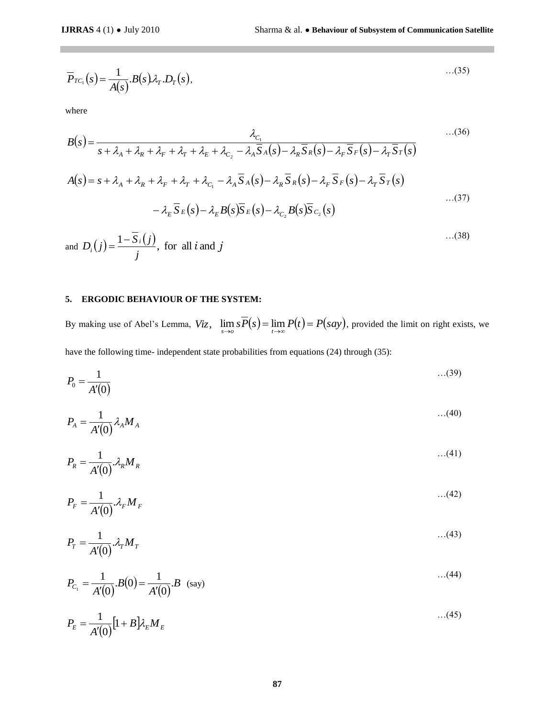$$
\overline{P}_{TC_1}(s) = \frac{1}{A(s)} B(s) \lambda_T D_T(s), \qquad (35)
$$

where

$$
Pr_{\text{TC}_1}(s) = \frac{1}{A(s)}B(s)\lambda_{\text{T}}. D_{\text{T}}(s),
$$
\nwhere  
\n
$$
B(s) = \frac{1}{s + \lambda_A + \lambda_k + \lambda_{\text{T}} + \lambda_{\text{T}} + \lambda_{\text{T}} + \lambda_{\text{C}_1} - \lambda_A \overline{S} \cdot (s) - \lambda_{\text{T}} \overline{S} \cdot (s) - \lambda_{\text{T}} \overline{S} \cdot (s) - \lambda_{\text{T}} \overline{S} \cdot (s)} \tag{136}
$$
\n
$$
A(s) = s + \lambda_A + \lambda_R + \lambda_{\text{T}} + \lambda_{\text{T}} + \lambda_{\text{C}_1} - \lambda_A \overline{S} \cdot (s) - \lambda_{\text{T}} \overline{S} \cdot (s) - \lambda_{\text{T}} \overline{S} \cdot (s) - \lambda_{\text{T}} \overline{S} \cdot (s)
$$
\n
$$
- \lambda_{\text{T}} \overline{S} \cdot (s) - \lambda_{\text{E}} B(s) \overline{S} \cdot (s) - \lambda_{\text{C}_2} B(s) \overline{S} \cdot (s) \tag{37}
$$
\n
$$
- \lambda_{\text{T}} \overline{S} \cdot (s) - \lambda_{\text{E}} B(s) \overline{S} \cdot (s) \tag{38}
$$
\nand  $D_i(j) = \frac{1 - \overline{S}_i(j)}{j}$ , for all *i* and *j* (138)  
\n
$$
\therefore (38)
$$
\n
$$
\text{SN making use of Abel's Lemma, } Viz, \quad \lim_{s \to 0} s \overline{P}(s) = \lim_{t \to \infty} P(t) = P(s\alpha y)
$$
, provided the limit on right exist.  
\nBy making use of Abel's Lemma,  $Viz, \quad \lim_{s \to 0} s \overline{P}(s) = \lim_{t \to \infty} P(t) = P(s\alpha y)$ , provided the limit on right exist.  
\n
$$
P_0 = \frac{1}{A'(0)} \lambda_{\text{T}} M_A \tag{43}
$$
\n
$$
P_x = \frac{1}{A'(0)} \lambda_{\text{T}} M_x
$$
\n
$$
P_y = \frac{1}{A'(0)} \lambda_{\text{T}} M_y
$$
\n
$$
P_z
$$

and  $D_i(j) = \frac{1 - S_i(j)}{j}$ , for all *i* and *j j*  $D_i(j) = \frac{1 - S_i(j)}{j}$ *i*  $=\frac{1-}{1}$ …(38)

### **5. ERGODIC BEHAVIOUR OF THE SYSTEM:**

By making use of Abel's Lemma,  $Viz$ ,  $\lim_{s\to o} sP(s) = \lim_{t\to\infty} P(t) = P(say)$ , provided the limit on right exists, we have the following time- independent state probabilities from equations (24) through (35):

$$
P_0 = \frac{1}{A'(0)} \tag{39}
$$

$$
P_A = \frac{1}{A'(0)} \lambda_A M_A \tag{40}
$$

$$
P_R = \frac{1}{A'(0)} \mathcal{A}_R M_R \tag{41}
$$

$$
P_F = \frac{1}{A'(0)} \lambda_F M_F \tag{42}
$$

$$
P_T = \frac{1}{A'(0)} \mathcal{A}_T M_T \tag{43}
$$

$$
P_{C_1} = \frac{1}{A'(0)} B(0) = \frac{1}{A'(0)} B \quad \text{(say)}
$$
...(44)

$$
P_E = \frac{1}{A'(0)} \left[ 1 + B \right] \lambda_E M_E \tag{45}
$$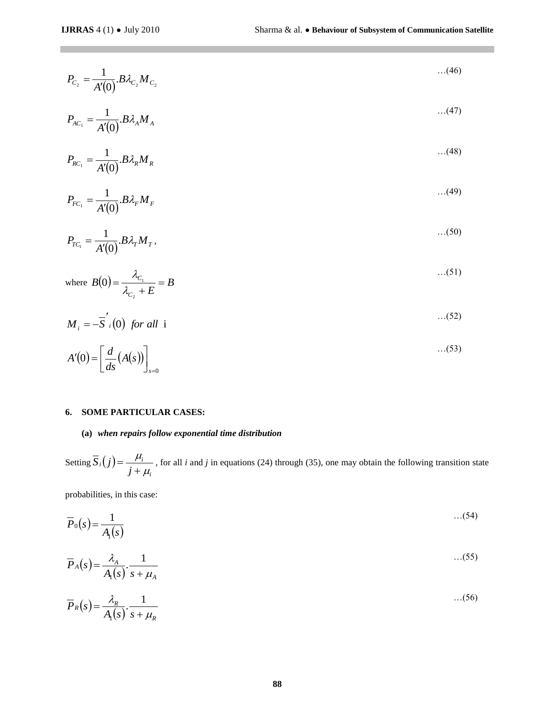$\mathbb{R}^n$ 

$$
P_{C_2} = \frac{1}{A'(0)} B \lambda_{C_2} M_{C_2} \tag{46}
$$

$$
P_{AC_1} = \frac{1}{A'(0)} B \lambda_A M_A \tag{47}
$$

$$
P_{RC_1} = \frac{1}{A'(0)} B \lambda_R M_R \tag{48}
$$

$$
P_{FC_1} = \frac{1}{A'(0)} B \lambda_F M_F \tag{49}
$$

$$
P_{TC_1} = \frac{1}{A'(0)} B \lambda_T M_T, \qquad \qquad \dots (50)
$$

where 
$$
B(0) = \frac{\lambda_{C_1}}{\lambda_{C_2} + E} = B \tag{51}
$$

$$
M_i = -\overline{S}'_i(0) \text{ for all } i
$$

$$
P_{AC_1} = \frac{1}{A'(0)} B \lambda_A M_A
$$
...(47)  
\n
$$
P_{AC_1} = \frac{1}{A'(0)} B \lambda_A M_A
$$
...(48)  
\n
$$
P_{FC_1} = \frac{1}{A'(0)} B \lambda_F M_F
$$
...(49)  
\n
$$
P_{TC_1} = \frac{1}{A'(0)} B \lambda_F M_T,
$$
...(50)  
\nwhere  $B(0) = \frac{\lambda_{C_1}}{\lambda_{C_2} + E} = B$ ...(51)  
\n
$$
M_i = -\overline{S'}_i(0) \text{ for all } i
$$
...(52)  
\n6. **SOME PARTICULAR CASES:**  
\n(a) when *repairs follow exponential time distribution*  
\nSetting  $\overline{S_i}(j) = \frac{\mu_i}{j + \mu_i}$ , for all *i* and *j* in equations (24) through (35), one may obtain the following transitiv  
\nprobabilities, in this case:  
\n
$$
\overline{P}_0(s) = \frac{1}{A(s)}.
$$

### **6. SOME PARTICULAR CASES:**

## **(a)** *when repairs follow exponential time distribution*

Setting  $S_i(j)$ *i*  $i(j) = \frac{\mu_i}{j+j}$ *S j*  $\mu_{_{\!j}}$  $\mu_{_{i}}$  $\ddot{}$  $=\frac{\mu_i}{\mu_i}$ , for all *i* and *j* in equations (24) through (35), one may obtain the following transition state

probabilities, in this case:

$$
\overline{P}_0(s) = \frac{1}{A_1(s)} \tag{54}
$$

$$
\overline{P}_A(s) = \frac{\lambda_A}{A_1(s)} \cdot \frac{1}{s + \mu_A} \tag{55}
$$

$$
\overline{P}_R(s) = \frac{\lambda_R}{A_1(s)} \cdot \frac{1}{s + \mu_R} \tag{56}
$$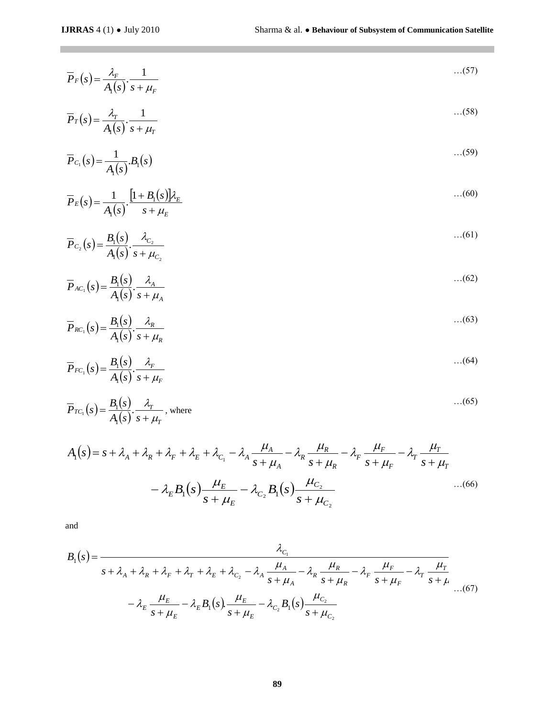$$
\overline{P}_F(s) = \frac{\lambda_F}{A_1(s)} \cdot \frac{1}{s + \mu_F} \tag{57}
$$

$$
\overline{P}_T(s) = \frac{\lambda_T}{A_1(s)} \cdot \frac{1}{s + \mu_T} \tag{58}
$$

$$
\overline{P}_{C_1}(s) = \frac{1}{A_1(s)} B_1(s) \tag{59}
$$

$$
\overline{P}_E(s) = \frac{1}{A_1(s)} \cdot \frac{\left[1 + B_1(s)\right] \lambda_E}{s + \mu_E} \tag{60}
$$

$$
\overline{P}_{C_2}(s) = \frac{B_1(s)}{A_1(s)} \cdot \frac{\lambda_{C_2}}{s + \mu_{C_2}}
$$
...(61)

$$
\overline{P}_{AC_1}(s) = \frac{B_1(s)}{A_1(s)} \cdot \frac{\lambda_A}{s + \mu_A} \tag{62}
$$

$$
\overline{P}_{RC_1}(s) = \frac{B_1(s)}{A_1(s)} \cdot \frac{\lambda_R}{s + \mu_R} \tag{63}
$$

$$
\overline{P}_{FC_1}(s) = \frac{B_1(s)}{A_1(s)} \cdot \frac{\lambda_F}{s + \mu_F} \tag{64}
$$

$$
\overline{P}_{TC_1}(s) = \frac{B_1(s)}{A_1(s)} \cdot \frac{\lambda_T}{s + \mu_T}, \text{ where}
$$
\n...(65)

$$
A_1(s) = s + \lambda_A + \lambda_R + \lambda_F + \lambda_E + \lambda_{C_1} - \lambda_A \frac{\mu_A}{s + \mu_A} - \lambda_R \frac{\mu_R}{s + \mu_R} - \lambda_F \frac{\mu_F}{s + \mu_F} - \lambda_T \frac{\mu_T}{s + \mu_T}
$$

$$
- \lambda_E B_1(s) \frac{\mu_E}{s + \mu_E} - \lambda_{C_2} B_1(s) \frac{\mu_{C_2}}{s + \mu_{C_2}} \qquad \qquad ...(66)
$$

and

$$
P_F(s) = \frac{\lambda_r}{A_s(s)} \cdot \frac{1}{s + \mu_r}
$$
  
\n
$$
\overline{P}_T(s) = \frac{\lambda_r}{A_s(s)} \cdot \frac{1}{s + \mu_r}
$$
  
\n
$$
\overline{P}_C(s) = \frac{1}{A_s(s)} \cdot \frac{[1 + B_s(s)]\lambda_r}{s + \mu_r}
$$
  
\n
$$
\overline{P}_C(s) = \frac{B_s(s)}{A_s(s)} \cdot \frac{\lambda_c}{s + \mu_c}
$$
  
\n
$$
\overline{P}_{AC_s}(s) = \frac{B_s(s)}{A_s(s)} \cdot \frac{\lambda_s}{s + \mu_s}
$$
  
\n
$$
\overline{P}_{FC_s}(s) = \frac{B_s(s)}{A_s(s)} \cdot \frac{\lambda_s}{s + \mu_s}
$$
  
\n
$$
\overline{P}_{FC_s}(s) = \frac{B_s(s)}{A_s(s)} \cdot \frac{\lambda_r}{s + \mu_r}
$$
  
\n
$$
\overline{P}_{FC_s}(s) = \frac{B_s(s)}{A_s(s)} \cdot \frac{\lambda_r}{s + \mu_r}
$$
  
\n
$$
\overline{P}_{FC_s}(s) = \frac{B_s(s)}{A_s(s)} \cdot \frac{\lambda_r}{s + \mu_r}
$$
  
\n
$$
\overline{P}_{FC_s}(s) = \frac{B_s(s)}{A_s(s)} \cdot \frac{\lambda_r}{s + \mu_r}
$$
  
\n
$$
- \lambda_E B_s(s) \cdot \frac{\mu_E}{s + \mu_E} - \lambda_{C_s} B_s(s) \cdot \frac{\mu_C}{s + \mu_C}
$$
  
\nand  
\n
$$
B_s(s) = \frac{\lambda_c}{s + \lambda_s + \lambda_r + \lambda_r + \lambda_r + \lambda_c - \lambda_s \frac{\mu_A}{s + \mu_A} - \lambda_R \frac{\mu_R}{s + \mu_R} - \lambda_r \frac{\mu_r}{s + \mu_r} - \lambda_r \frac{\mu_r}{s + \mu_r}
$$
  
\n
$$
- \lambda_E \frac{\mu_E}{s + \mu_E} - \lambda_{C_s} B_s(s) \cdot \frac{\mu_C}{s + \mu_C}
$$
  
\nand  
\n
$$
B_s(s) = \frac{\lambda_c}{s + \mu_E} - \lambda_{E_s} B_s(s) \cdot \frac{\mu_E}{s + \mu_E} - \lambda_{E_s} B_s(s) \cdot \frac{\mu_C}{s + \mu_C}
$$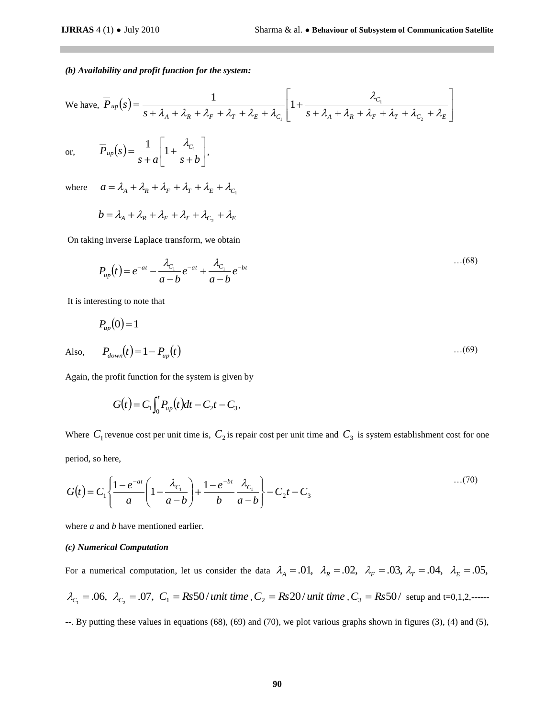#### *(b) Availability and profit function for the system:*

We have, 
$$
\overline{P}_{up}(s) = \frac{1}{s + \lambda_A + \lambda_R + \lambda_r + \lambda_r + \lambda_c + \lambda_{C_1}} \left[ 1 + \frac{\lambda_{C_1}}{s + \lambda_A + \lambda_R + \lambda_r + \lambda_r + \lambda_{C_2} + \lambda_E} \right]
$$
  
or,  $\overline{P}_{up}(s) = \frac{1}{s + a} \left[ 1 + \frac{\lambda_{C_1}}{s + b} \right],$ 

wh

Also,

here 
$$
a = \lambda_A + \lambda_R + \lambda_F + \lambda_T + \lambda_E + \lambda_{C_1}
$$

$$
b = \lambda_{A} + \lambda_{R} + \lambda_{F} + \lambda_{T} + \lambda_{C_2} + \lambda_{E}
$$

On taking inverse Laplace transform, we obtain

$$
P_{up}(t) = e^{-at} - \frac{\lambda_{C_1}}{a-b}e^{-at} + \frac{\lambda_{C_1}}{a-b}e^{-bt}
$$
...(68)

It is interesting to note that

$$
P_{up}(0) = 1
$$
  
Also,  $P_{down}(t) = 1 - P_{up}(t)$  ... (69)

Again, the profit function for the system is given by

$$
G(t) = C_1 \int_0^t P_{up}(t) dt - C_2 t - C_3,
$$

Where  $C_1$  revenue cost per unit time is,  $C_2$  is repair cost per unit time and  $C_3$  is system establishment cost for one period, so here,

$$
G(t) = C_1 \left\{ \frac{1 - e^{-at}}{a} \left( 1 - \frac{\lambda_{C_1}}{a - b} \right) + \frac{1 - e^{-bt}}{b} \frac{\lambda_{C_1}}{a - b} \right\} - C_2 t - C_3 \tag{70}
$$

where *a* and *b* have mentioned earlier.

#### *(c) Numerical Computation*

For a numerical computation, let us consider the data  $\lambda_A = .01$ ,  $\lambda_R = .02$ ,  $\lambda_F = .03$ ,  $\lambda_T = .04$ ,  $\lambda_E = .05$ ,  $\lambda_{C_1} = .06, \ \lambda_{C_2} = .07, \ C_1 = Rs50/$  *unit time*  $\lambda_{C_2} = Rs20/$  *unit time*  $\lambda_{C_3} = Rs50/$  setup and t=0,1,2,--------. By putting these values in equations (68), (69) and (70), we plot various graphs shown in figures (3), (4) and (5),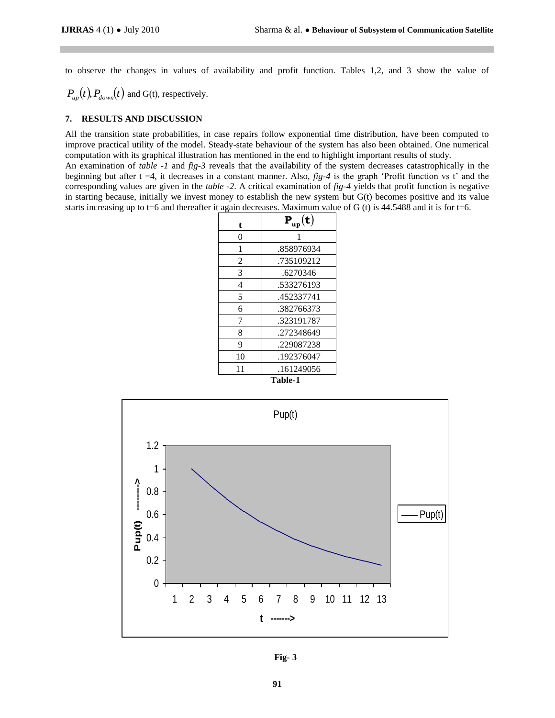to observe the changes in values of availability and profit function. Tables 1,2, and 3 show the value of

 $P_{up}(t)$ ,  $P_{down}(t)$  and G(t), respectively.

### **7. RESULTS AND DISCUSSION**

All the transition state probabilities, in case repairs follow exponential time distribution, have been computed to improve practical utility of the model. Steady-state behaviour of the system has also been obtained. One numerical computation with its graphical illustration has mentioned in the end to highlight important results of study.

An examination of *table -1* and *fig-3* reveals that the availability of the system decreases catastrophically in the beginning but after  $t = 4$ , it decreases in a constant manner. Also,  $fig-4$  is the graph 'Profit function vs t' and the corresponding values are given in the *table -2*. A critical examination of *fig-4* yields that profit function is negative in starting because, initially we invest money to establish the new system but G(t) becomes positive and its value starts increasing up to t=6 and thereafter it again decreases. Maximum value of G (t) is  $44.5488$  and it is for t=6.

| t              | $\textbf{P}_{\textbf{u}\textbf{p}}(\textbf{t})$ |
|----------------|-------------------------------------------------|
| 0              | 1                                               |
| 1              | .858976934                                      |
| 2              | .735109212                                      |
| 3              | .6270346                                        |
| 4              | .533276193                                      |
| 5              | .452337741                                      |
| 6              | .382766373                                      |
| 7              | .323191787                                      |
| 8              | .272348649                                      |
| 9              | .229087238                                      |
| 10             | .192376047                                      |
| 11             | .161249056                                      |
| <b>Table-1</b> |                                                 |



**Fig- 3**